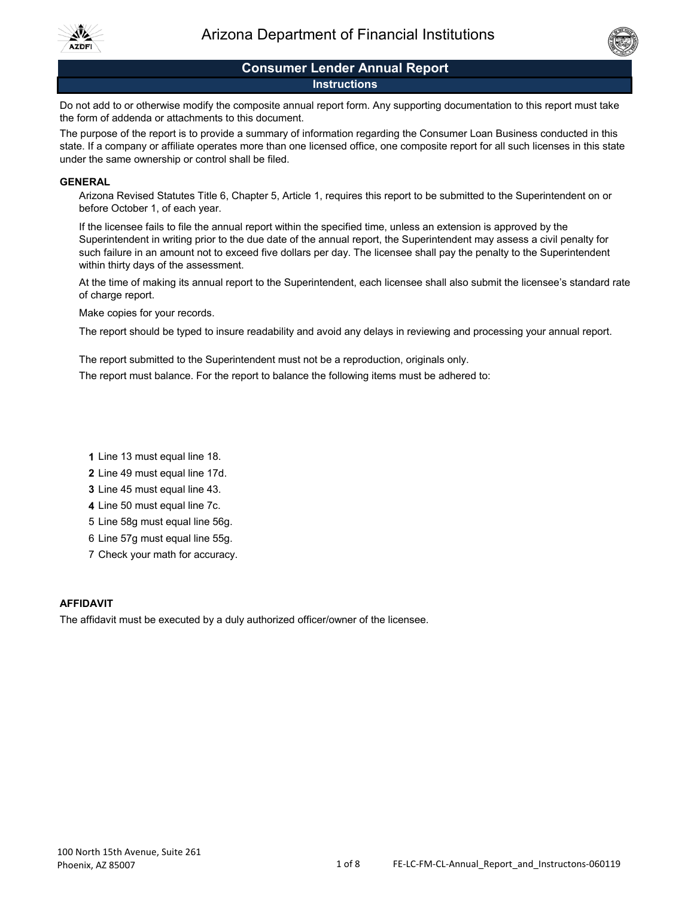



# **Consumer Lender Annual Report**

## **Instructions**

Do not add to or otherwise modify the composite annual report form. Any supporting documentation to this report must take the form of addenda or attachments to this document.

The purpose of the report is to provide a summary of information regarding the Consumer Loan Business conducted in this state. If a company or affiliate operates more than one licensed office, one composite report for all such licenses in this state under the same ownership or control shall be filed.

### **GENERAL**

Arizona Revised Statutes Title 6, Chapter 5, Article 1, requires this report to be submitted to the Superintendent on or before October 1, of each year.

If the licensee fails to file the annual report within the specified time, unless an extension is approved by the Superintendent in writing prior to the due date of the annual report, the Superintendent may assess a civil penalty for such failure in an amount not to exceed five dollars per day. The licensee shall pay the penalty to the Superintendent within thirty days of the assessment.

At the time of making its annual report to the Superintendent, each licensee shall also submit the licensee's standard rate of charge report.

Make copies for your records.

The report should be typed to insure readability and avoid any delays in reviewing and processing your annual report.

The report submitted to the Superintendent must not be a reproduction, originals only.

The report must balance. For the report to balance the following items must be adhered to:

- **1** Line 13 must equal line 18.
- **2** Line 49 must equal line 17d.
- **3** Line 45 must equal line 43.
- **4** Line 50 must equal line 7c.
- 5 Line 58g must equal line 56g.
- 6 Line 57g must equal line 55g.
- 7 Check your math for accuracy.

## **AFFIDAVIT**

The affidavit must be executed by a duly authorized officer/owner of the licensee.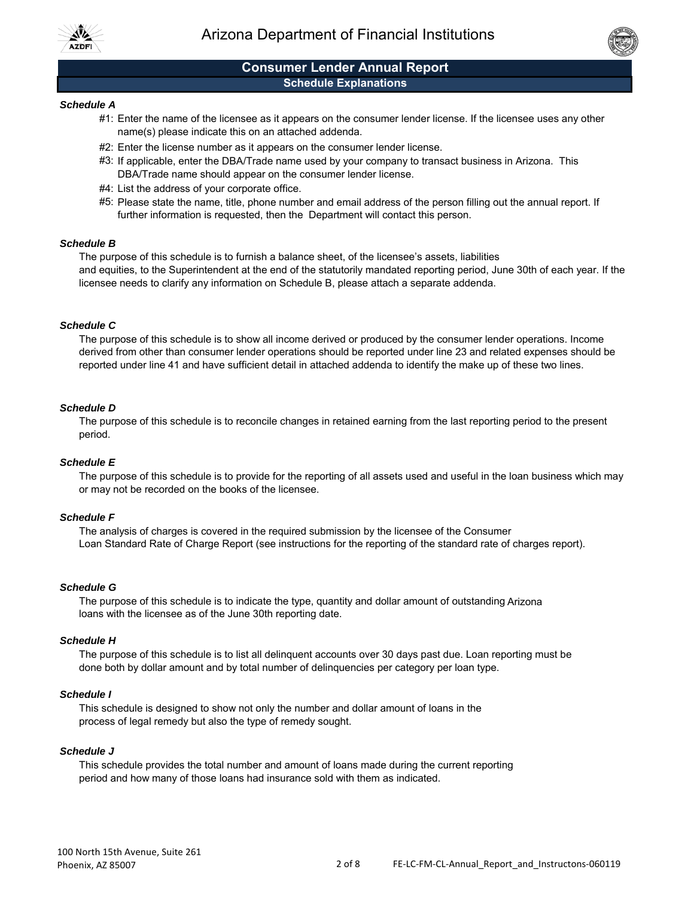



## **Schedule Explanations Consumer Lender Annual Report**

#### *Schedule A*

- #1: Enter the name of the licensee as it appears on the consumer lender license. If the licensee uses any other name(s) please indicate this on an attached addenda.
- #2: Enter the license number as it appears on the consumer lender license.
- #3: If applicable, enter the DBA/Trade name used by your company to transact business in Arizona. This DBA/Trade name should appear on the consumer lender license.
- #4: List the address of your corporate office.
- #5: Please state the name, title, phone number and email address of the person filling out the annual report. If further information is requested, then the Department will contact this person.

#### *Schedule B*

The purpose of this schedule is to furnish a balance sheet, of the licensee's assets, liabilities and equities, to the Superintendent at the end of the statutorily mandated reporting period, June 30th of each year. If the licensee needs to clarify any information on Schedule B, please attach a separate addenda.

#### *Schedule C*

The purpose of this schedule is to show all income derived or produced by the consumer lender operations. Income derived from other than consumer lender operations should be reported under line 23 and related expenses should be reported under line 41 and have sufficient detail in attached addenda to identify the make up of these two lines.

#### *Schedule D*

The purpose of this schedule is to reconcile changes in retained earning from the last reporting period to the present period.

#### *Schedule E*

The purpose of this schedule is to provide for the reporting of all assets used and useful in the loan business which may or may not be recorded on the books of the licensee.

#### *Schedule F*

The analysis of charges is covered in the required submission by the licensee of the Consumer Loan Standard Rate of Charge Report (see instructions for the reporting of the standard rate of charges report).

#### *Schedule G*

The purpose of this schedule is to indicate the type, quantity and dollar amount of outstanding Arizonaloans with the licensee as of the June 30th reporting date.

#### *Schedule H*

The purpose of this schedule is to list all delinquent accounts over 30 days past due. Loan reporting must be done both by dollar amount and by total number of delinquencies per category per loan type.

#### *Schedule I*

This schedule is designed to show not only the number and dollar amount of loans in the process of legal remedy but also the type of remedy sought.

## *Schedule J*

This schedule provides the total number and amount of loans made during the current reporting period and how many of those loans had insurance sold with them as indicated.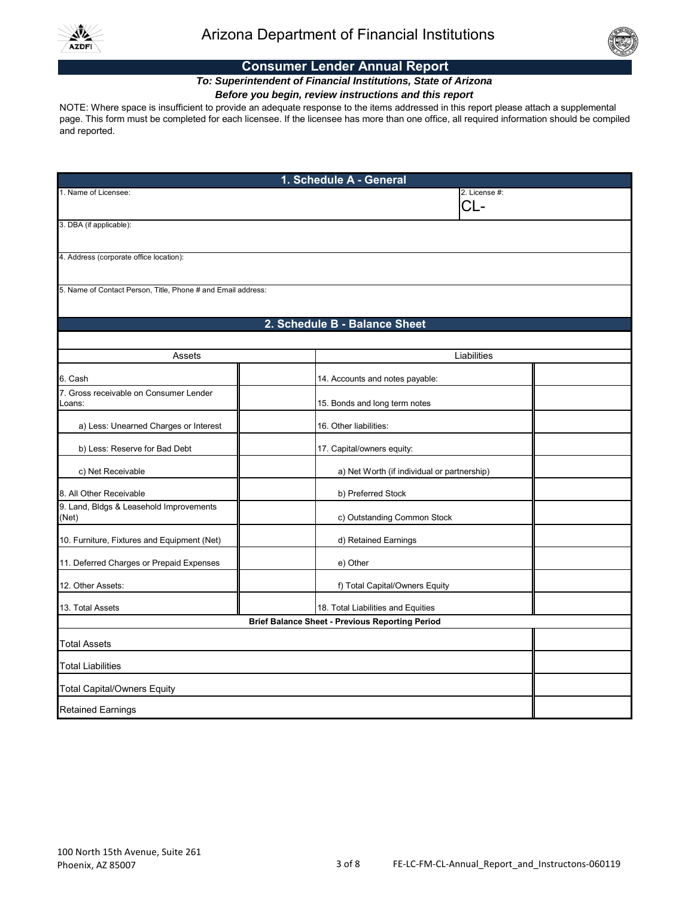



## **Consumer Lender Annual Report**

# *To: Superintendent of Financial Institutions, State of Arizona*

# *Before you begin, review instructions and this report*

NOTE: Where space is insufficient to provide an adequate response to the items addressed in this report please attach a supplemental page. This form must be completed for each licensee. If the licensee has more than one office, all required information should be compiled and reported.

| 1. Schedule A - General                                      |                                             |  |  |  |
|--------------------------------------------------------------|---------------------------------------------|--|--|--|
| 1. Name of Licensee:                                         | 2. License #:<br>CL-                        |  |  |  |
| 3. DBA (if applicable):                                      |                                             |  |  |  |
| 4. Address (corporate office location):                      |                                             |  |  |  |
| 5. Name of Contact Person, Title, Phone # and Email address: |                                             |  |  |  |
|                                                              | 2. Schedule B - Balance Sheet               |  |  |  |
| Liabilities<br>Assets                                        |                                             |  |  |  |
|                                                              |                                             |  |  |  |
| 6. Cash                                                      | 14. Accounts and notes payable:             |  |  |  |
| 7. Gross receivable on Consumer Lender<br>Loans:             | 15. Bonds and long term notes               |  |  |  |
| a) Less: Unearned Charges or Interest                        | 16. Other liabilities:                      |  |  |  |
| b) Less: Reserve for Bad Debt                                | 17. Capital/owners equity:                  |  |  |  |
| c) Net Receivable                                            | a) Net Worth (if individual or partnership) |  |  |  |
| 8. All Other Receivable                                      | b) Preferred Stock                          |  |  |  |
| 9. Land, Bldgs & Leasehold Improvements<br>(Net)             | c) Outstanding Common Stock                 |  |  |  |
| 10. Furniture, Fixtures and Equipment (Net)                  | d) Retained Earnings                        |  |  |  |
| 11. Deferred Charges or Prepaid Expenses                     | e) Other                                    |  |  |  |
| 12. Other Assets:                                            | f) Total Capital/Owners Equity              |  |  |  |
| 13. Total Assets                                             | 18. Total Liabilities and Equities          |  |  |  |
| <b>Brief Balance Sheet - Previous Reporting Period</b>       |                                             |  |  |  |
| <b>Total Assets</b>                                          |                                             |  |  |  |
| <b>Total Liabilities</b>                                     |                                             |  |  |  |
| <b>Total Capital/Owners Equity</b>                           |                                             |  |  |  |
| <b>Retained Earnings</b>                                     |                                             |  |  |  |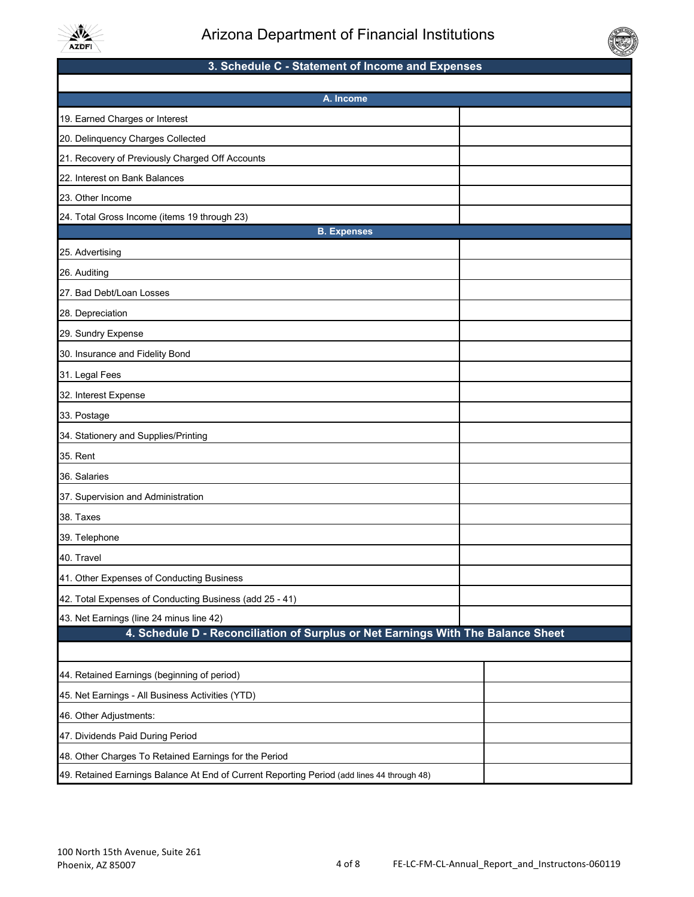



# **3. Schedule C - Statement of Income and Expenses**

| A. Income                                                                                  |  |  |  |
|--------------------------------------------------------------------------------------------|--|--|--|
| 19. Earned Charges or Interest                                                             |  |  |  |
| 20. Delinquency Charges Collected                                                          |  |  |  |
| 21. Recovery of Previously Charged Off Accounts                                            |  |  |  |
| 22. Interest on Bank Balances                                                              |  |  |  |
| 23. Other Income                                                                           |  |  |  |
| 24. Total Gross Income (items 19 through 23)                                               |  |  |  |
| <b>B.</b> Expenses                                                                         |  |  |  |
| 25. Advertising                                                                            |  |  |  |
| 26. Auditing                                                                               |  |  |  |
| 27. Bad Debt/Loan Losses                                                                   |  |  |  |
| 28. Depreciation                                                                           |  |  |  |
| 29. Sundry Expense                                                                         |  |  |  |
| 30. Insurance and Fidelity Bond                                                            |  |  |  |
| 31. Legal Fees                                                                             |  |  |  |
| 32. Interest Expense                                                                       |  |  |  |
| 33. Postage                                                                                |  |  |  |
| 34. Stationery and Supplies/Printing                                                       |  |  |  |
| 35. Rent                                                                                   |  |  |  |
| 36. Salaries                                                                               |  |  |  |
| 37. Supervision and Administration                                                         |  |  |  |
| 38. Taxes                                                                                  |  |  |  |
| 39. Telephone                                                                              |  |  |  |
| 40. Travel                                                                                 |  |  |  |
| 41. Other Expenses of Conducting Business                                                  |  |  |  |
| 42. Total Expenses of Conducting Business (add 25 - 41)                                    |  |  |  |
| 43. Net Earnings (line 24 minus line 42)                                                   |  |  |  |
| 4. Schedule D - Reconciliation of Surplus or Net Earnings With The Balance Sheet           |  |  |  |
|                                                                                            |  |  |  |
| 44. Retained Earnings (beginning of period)                                                |  |  |  |
| 45. Net Earnings - All Business Activities (YTD)                                           |  |  |  |
| 46. Other Adjustments:                                                                     |  |  |  |
| 47. Dividends Paid During Period                                                           |  |  |  |
| 48. Other Charges To Retained Earnings for the Period                                      |  |  |  |
| 49. Retained Earnings Balance At End of Current Reporting Period (add lines 44 through 48) |  |  |  |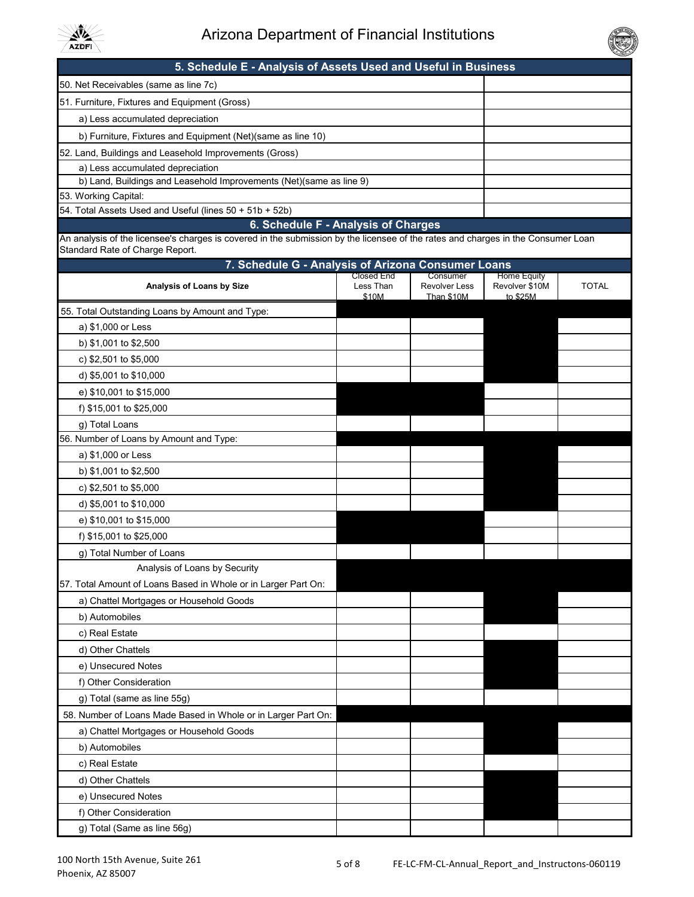



# **5. Schedule E - Analysis of Assets Used and Useful in Business**

| 50. Net Receivables (same as line 7c)                               |  |  |
|---------------------------------------------------------------------|--|--|
| 51. Furniture, Fixtures and Equipment (Gross)                       |  |  |
| a) Less accumulated depreciation                                    |  |  |
| b) Furniture, Fixtures and Equipment (Net) (same as line 10)        |  |  |
| 52. Land, Buildings and Leasehold Improvements (Gross)              |  |  |
| a) Less accumulated depreciation                                    |  |  |
| b) Land, Buildings and Leasehold Improvements (Net)(same as line 9) |  |  |
| 53. Working Capital:                                                |  |  |
| 54. Total Assets Used and Useful (lines 50 + 51b + 52b)             |  |  |
| 6. Schedule F - Analysis of Charges                                 |  |  |

An analysis of the licensee's charges is covered in the submission by the licensee of the rates and charges in the Consumer Loan Standard Rate of Charge Report.

| 7. Schedule G - Analysis of Arizona Consumer Loans             |                                  |                                                |                                                  |              |
|----------------------------------------------------------------|----------------------------------|------------------------------------------------|--------------------------------------------------|--------------|
| Analysis of Loans by Size                                      | Closed End<br>Less Than<br>\$10M | Consumer<br><b>Revolver Less</b><br>Than \$10M | <b>Home Equity</b><br>Revolver \$10M<br>to \$25M | <b>TOTAL</b> |
| 55. Total Outstanding Loans by Amount and Type:                |                                  |                                                |                                                  |              |
| a) \$1,000 or Less                                             |                                  |                                                |                                                  |              |
| b) \$1,001 to \$2,500                                          |                                  |                                                |                                                  |              |
| c) $$2,501$ to $$5,000$                                        |                                  |                                                |                                                  |              |
| d) \$5,001 to \$10,000                                         |                                  |                                                |                                                  |              |
| e) \$10,001 to \$15,000                                        |                                  |                                                |                                                  |              |
| f) \$15,001 to \$25,000                                        |                                  |                                                |                                                  |              |
| g) Total Loans                                                 |                                  |                                                |                                                  |              |
| 56. Number of Loans by Amount and Type:                        |                                  |                                                |                                                  |              |
| a) \$1,000 or Less                                             |                                  |                                                |                                                  |              |
| b) \$1,001 to \$2,500                                          |                                  |                                                |                                                  |              |
| c) \$2,501 to \$5,000                                          |                                  |                                                |                                                  |              |
| d) \$5,001 to \$10,000                                         |                                  |                                                |                                                  |              |
| e) \$10,001 to \$15,000                                        |                                  |                                                |                                                  |              |
| f) \$15,001 to \$25,000                                        |                                  |                                                |                                                  |              |
| g) Total Number of Loans                                       |                                  |                                                |                                                  |              |
| Analysis of Loans by Security                                  |                                  |                                                |                                                  |              |
| 57. Total Amount of Loans Based in Whole or in Larger Part On: |                                  |                                                |                                                  |              |
| a) Chattel Mortgages or Household Goods                        |                                  |                                                |                                                  |              |
| b) Automobiles                                                 |                                  |                                                |                                                  |              |
| c) Real Estate                                                 |                                  |                                                |                                                  |              |
| d) Other Chattels                                              |                                  |                                                |                                                  |              |
| e) Unsecured Notes                                             |                                  |                                                |                                                  |              |
| f) Other Consideration                                         |                                  |                                                |                                                  |              |
| g) Total (same as line 55g)                                    |                                  |                                                |                                                  |              |
| 58. Number of Loans Made Based in Whole or in Larger Part On:  |                                  |                                                |                                                  |              |
| a) Chattel Mortgages or Household Goods                        |                                  |                                                |                                                  |              |
| b) Automobiles                                                 |                                  |                                                |                                                  |              |
| c) Real Estate                                                 |                                  |                                                |                                                  |              |
| d) Other Chattels                                              |                                  |                                                |                                                  |              |
| e) Unsecured Notes                                             |                                  |                                                |                                                  |              |
| f) Other Consideration                                         |                                  |                                                |                                                  |              |
| g) Total (Same as line 56g)                                    |                                  |                                                |                                                  |              |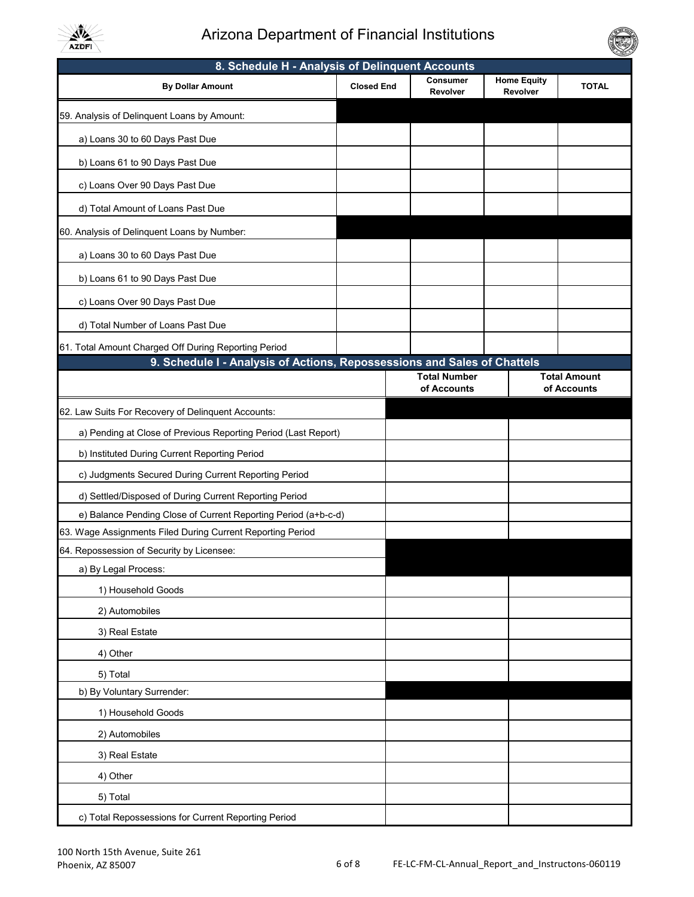

# Arizona Department of Financial Institutions

| 8. Schedule H - Analysis of Delinquent Accounts                                                                                  |                   |                             |                                |                     |
|----------------------------------------------------------------------------------------------------------------------------------|-------------------|-----------------------------|--------------------------------|---------------------|
| <b>By Dollar Amount</b>                                                                                                          | <b>Closed End</b> | <b>Consumer</b><br>Revolver | <b>Home Equity</b><br>Revolver | <b>TOTAL</b>        |
| 59. Analysis of Delinquent Loans by Amount:                                                                                      |                   |                             |                                |                     |
| a) Loans 30 to 60 Days Past Due                                                                                                  |                   |                             |                                |                     |
| b) Loans 61 to 90 Days Past Due                                                                                                  |                   |                             |                                |                     |
| c) Loans Over 90 Days Past Due                                                                                                   |                   |                             |                                |                     |
| d) Total Amount of Loans Past Due                                                                                                |                   |                             |                                |                     |
| 60. Analysis of Delinquent Loans by Number:                                                                                      |                   |                             |                                |                     |
| a) Loans 30 to 60 Days Past Due                                                                                                  |                   |                             |                                |                     |
| b) Loans 61 to 90 Days Past Due                                                                                                  |                   |                             |                                |                     |
| c) Loans Over 90 Days Past Due                                                                                                   |                   |                             |                                |                     |
| d) Total Number of Loans Past Due                                                                                                |                   |                             |                                |                     |
|                                                                                                                                  |                   |                             |                                |                     |
| 61. Total Amount Charged Off During Reporting Period<br>9. Schedule I - Analysis of Actions, Repossessions and Sales of Chattels |                   |                             |                                |                     |
|                                                                                                                                  |                   | <b>Total Number</b>         |                                | <b>Total Amount</b> |
|                                                                                                                                  |                   | of Accounts                 |                                | of Accounts         |
| 62. Law Suits For Recovery of Delinquent Accounts:                                                                               |                   |                             |                                |                     |
| a) Pending at Close of Previous Reporting Period (Last Report)                                                                   |                   |                             |                                |                     |
| b) Instituted During Current Reporting Period                                                                                    |                   |                             |                                |                     |
| c) Judgments Secured During Current Reporting Period                                                                             |                   |                             |                                |                     |
| d) Settled/Disposed of During Current Reporting Period                                                                           |                   |                             |                                |                     |
| e) Balance Pending Close of Current Reporting Period (a+b-c-d)                                                                   |                   |                             |                                |                     |
| 63. Wage Assignments Filed During Current Reporting Period                                                                       |                   |                             |                                |                     |
| 64. Repossession of Security by Licensee:                                                                                        |                   |                             |                                |                     |
| a) By Legal Process:                                                                                                             |                   |                             |                                |                     |
| 1) Household Goods                                                                                                               |                   |                             |                                |                     |
| 2) Automobiles                                                                                                                   |                   |                             |                                |                     |
| 3) Real Estate                                                                                                                   |                   |                             |                                |                     |
| 4) Other                                                                                                                         |                   |                             |                                |                     |
| 5) Total                                                                                                                         |                   |                             |                                |                     |
| b) By Voluntary Surrender:                                                                                                       |                   |                             |                                |                     |
| 1) Household Goods                                                                                                               |                   |                             |                                |                     |
| 2) Automobiles                                                                                                                   |                   |                             |                                |                     |
| 3) Real Estate                                                                                                                   |                   |                             |                                |                     |
| 4) Other                                                                                                                         |                   |                             |                                |                     |
| 5) Total                                                                                                                         |                   |                             |                                |                     |
| c) Total Repossessions for Current Reporting Period                                                                              |                   |                             |                                |                     |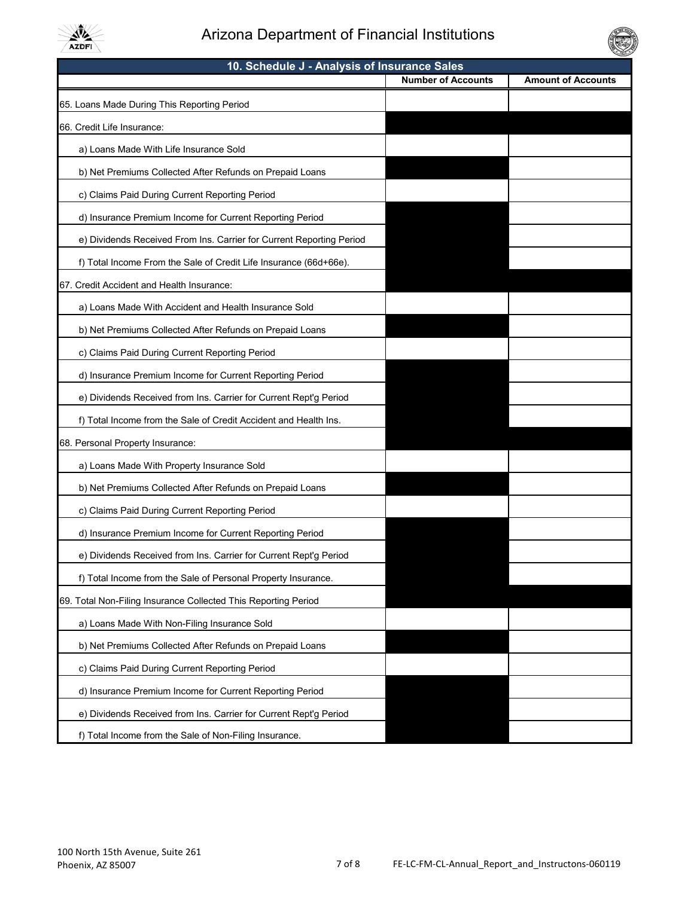

# Arizona Department of Financial Institutions

| 10. Schedule J - Analysis of Insurance Sales                         |                           |                           |  |  |
|----------------------------------------------------------------------|---------------------------|---------------------------|--|--|
|                                                                      | <b>Number of Accounts</b> | <b>Amount of Accounts</b> |  |  |
| 65. Loans Made During This Reporting Period                          |                           |                           |  |  |
| 66. Credit Life Insurance:                                           |                           |                           |  |  |
| a) Loans Made With Life Insurance Sold                               |                           |                           |  |  |
| b) Net Premiums Collected After Refunds on Prepaid Loans             |                           |                           |  |  |
| c) Claims Paid During Current Reporting Period                       |                           |                           |  |  |
| d) Insurance Premium Income for Current Reporting Period             |                           |                           |  |  |
| e) Dividends Received From Ins. Carrier for Current Reporting Period |                           |                           |  |  |
| f) Total Income From the Sale of Credit Life Insurance (66d+66e).    |                           |                           |  |  |
| 67. Credit Accident and Health Insurance:                            |                           |                           |  |  |
| a) Loans Made With Accident and Health Insurance Sold                |                           |                           |  |  |
| b) Net Premiums Collected After Refunds on Prepaid Loans             |                           |                           |  |  |
| c) Claims Paid During Current Reporting Period                       |                           |                           |  |  |
| d) Insurance Premium Income for Current Reporting Period             |                           |                           |  |  |
| e) Dividends Received from Ins. Carrier for Current Rept'g Period    |                           |                           |  |  |
| f) Total Income from the Sale of Credit Accident and Health Ins.     |                           |                           |  |  |
| 68. Personal Property Insurance:                                     |                           |                           |  |  |
| a) Loans Made With Property Insurance Sold                           |                           |                           |  |  |
| b) Net Premiums Collected After Refunds on Prepaid Loans             |                           |                           |  |  |
| c) Claims Paid During Current Reporting Period                       |                           |                           |  |  |
| d) Insurance Premium Income for Current Reporting Period             |                           |                           |  |  |
| e) Dividends Received from Ins. Carrier for Current Rept'g Period    |                           |                           |  |  |
| f) Total Income from the Sale of Personal Property Insurance.        |                           |                           |  |  |
| 69. Total Non-Filing Insurance Collected This Reporting Period       |                           |                           |  |  |
| a) Loans Made With Non-Filing Insurance Sold                         |                           |                           |  |  |
| b) Net Premiums Collected After Refunds on Prepaid Loans             |                           |                           |  |  |
| c) Claims Paid During Current Reporting Period                       |                           |                           |  |  |
| d) Insurance Premium Income for Current Reporting Period             |                           |                           |  |  |
| e) Dividends Received from Ins. Carrier for Current Rept'g Period    |                           |                           |  |  |
| f) Total Income from the Sale of Non-Filing Insurance.               |                           |                           |  |  |